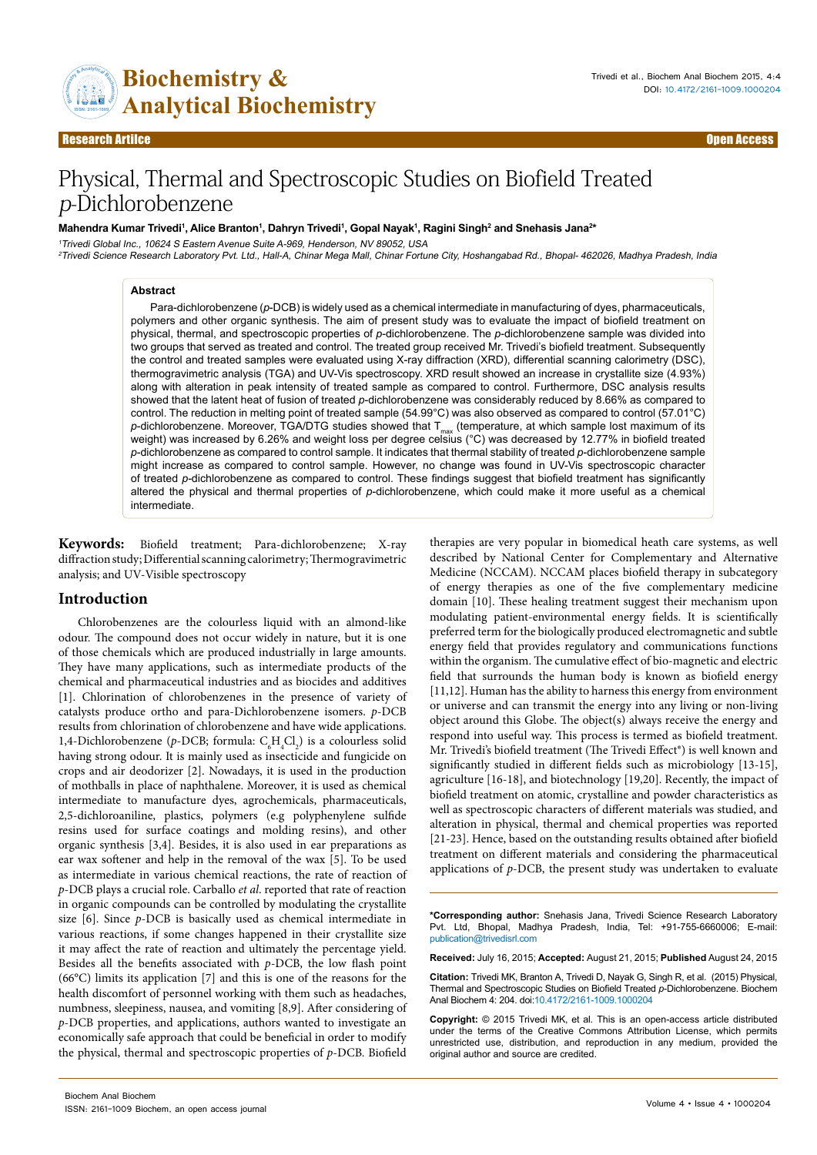

# Physical, Thermal and Spectroscopic Studies on Biofield Treated p-Dichlorobenzene

#### **M**ahendra Kumar Trivedi<sup>1</sup>, Alice Branton<sup>1</sup>, Dahryn Trivedi<sup>1</sup>, Gopal Nayak<sup>1</sup>, Ragini Singh<sup>2</sup> and Snehasis Jana<sup>2</sup>\*

<sup>1</sup>Trivedi Global Inc., 10624 S Eastern Avenue Suite A-969, Henderson, NV 89052, USA <sup>2</sup>Trivedi Science Research Laboratory Pvt. Ltd., Hall-A, Chinar Mega Mall, Chinar Fortune City, Hoshangabad Rd., Bhopal- 462026, Madhya Pradesh, India

#### **Abstract**

Para-dichlorobenzene (*p*-DCB) is widely used as a chemical intermediate in manufacturing of dyes, pharmaceuticals, polymers and other organic synthesis. The aim of present study was to evaluate the impact of biofield treatment on physical, thermal, and spectroscopic properties of *p*-dichlorobenzene. The *p*-dichlorobenzene sample was divided into two groups that served as treated and control. The treated group received Mr. Trivedi's biofield treatment. Subsequently the control and treated samples were evaluated using X-ray diffraction (XRD), differential scanning calorimetry (DSC), thermogravimetric analysis (TGA) and UV-Vis spectroscopy. XRD result showed an increase in crystallite size (4.93%) along with alteration in peak intensity of treated sample as compared to control. Furthermore, DSC analysis results showed that the latent heat of fusion of treated *p*-dichlorobenzene was considerably reduced by 8.66% as compared to control. The reduction in melting point of treated sample (54.99°C) was also observed as compared to control (57.01°C) *p*-dichlorobenzene. Moreover, TGA/DTG studies showed that T<sub>max</sub> (temperature, at which sample lost maximum of its weight) was increased by 6.26% and weight loss per degree celsius (°C) was decreased by 12.77% in biofield treated *p*-dichlorobenzene as compared to control sample. It indicates that thermal stability of treated *p*-dichlorobenzene sample might increase as compared to control sample. However, no change was found in UV-Vis spectroscopic character of treated *p-*dichlorobenzene as compared to control. These findings suggest that biofield treatment has significantly altered the physical and thermal properties of *p*-dichlorobenzene, which could make it more useful as a chemical intermediate.

**Keywords:** Biofield treatment; Para-dichlorobenzene; X-ray diffraction study; Differential scanning calorimetry; Thermogravimetric analysis; and UV-Visible spectroscopy

## **Introduction**

Chlorobenzenes are the colourless liquid with an almond-like odour. The compound does not occur widely in nature, but it is one of those chemicals which are produced industrially in large amounts. They have many applications, such as intermediate products of the chemical and pharmaceutical industries and as biocides and additives [1]. Chlorination of chlorobenzenes in the presence of variety of catalysts produce ortho and para-Dichlorobenzene isomers. *p*-DCB results from chlorination of chlorobenzene and have wide applications. 1,4-Dichlorobenzene ( $p$ -DCB; formula:  $C_6H_4Cl_2$ ) is a colourless solid having strong odour. It is mainly used as insecticide and fungicide on crops and air deodorizer [2]. Nowadays, it is used in the production of mothballs in place of naphthalene. Moreover, it is used as chemical intermediate to manufacture dyes, agrochemicals, pharmaceuticals, 2,5-dichloroaniline, plastics, polymers (e.g polyphenylene sulfide resins used for surface coatings and molding resins), and other organic synthesis [3,4]. Besides, it is also used in ear preparations as ear wax softener and help in the removal of the wax [5]. To be used as intermediate in various chemical reactions, the rate of reaction of *p*-DCB plays a crucial role. Carballo *et al*. reported that rate of reaction in organic compounds can be controlled by modulating the crystallite size [6]. Since *p*-DCB is basically used as chemical intermediate in various reactions, if some changes happened in their crystallite size it may affect the rate of reaction and ultimately the percentage yield. Besides all the benefits associated with *p*-DCB, the low flash point (66°C) limits its application [7] and this is one of the reasons for the health discomfort of personnel working with them such as headaches, numbness, sleepiness, nausea, and vomiting [8,9]. After considering of *p*-DCB properties, and applications, authors wanted to investigate an economically safe approach that could be beneficial in order to modify the physical, thermal and spectroscopic properties of *p*-DCB. Biofield

Biochem Anal Biochem ISSN: 2161-1009 Biochem, an open access journal

therapies are very popular in biomedical heath care systems, as well described by National Center for Complementary and Alternative Medicine (NCCAM). NCCAM places biofield therapy in subcategory of energy therapies as one of the five complementary medicine domain [10]. These healing treatment suggest their mechanism upon modulating patient-environmental energy fields. It is scientifically preferred term for the biologically produced electromagnetic and subtle energy field that provides regulatory and communications functions within the organism. The cumulative effect of bio-magnetic and electric field that surrounds the human body is known as biofield energy [11,12]. Human has the ability to harness this energy from environment or universe and can transmit the energy into any living or non-living object around this Globe. The object(s) always receive the energy and respond into useful way. This process is termed as biofield treatment. Mr. Trivedi's biofield treatment (The Trivedi Effect®) is well known and significantly studied in different fields such as microbiology [13-15], agriculture [16-18], and biotechnology [19,20]. Recently, the impact of biofield treatment on atomic, crystalline and powder characteristics as well as spectroscopic characters of different materials was studied, and alteration in physical, thermal and chemical properties was reported [21-23]. Hence, based on the outstanding results obtained after biofield treatment on different materials and considering the pharmaceutical applications of *p*-DCB, the present study was undertaken to evaluate

**\*Corresponding author:** Snehasis Jana, Trivedi Science Research Laboratory Pvt. Ltd, Bhopal, Madhya Pradesh, India, Tel: +91-755-6660006; E-mail: publication@trivedisrl.com

**Received:** July 16, 2015; **Accepted:** August 21, 2015; **Published** August 24, 2015

**Citation:** Trivedi MK, Branton A, Trivedi D, Nayak G, Singh R, et al. (2015) Physical, Thermal and Spectroscopic Studies on Biofield Treated *p*-Dichlorobenzene. Biochem Anal Biochem 4: 204. doi:10.4172/2161-1009.1000204

**Copyright:** © 2015 Trivedi MK, et al. This is an open-access article distributed under the terms of the Creative Commons Attribution License, which permits unrestricted use, distribution, and reproduction in any medium, provided the original author and source are credited.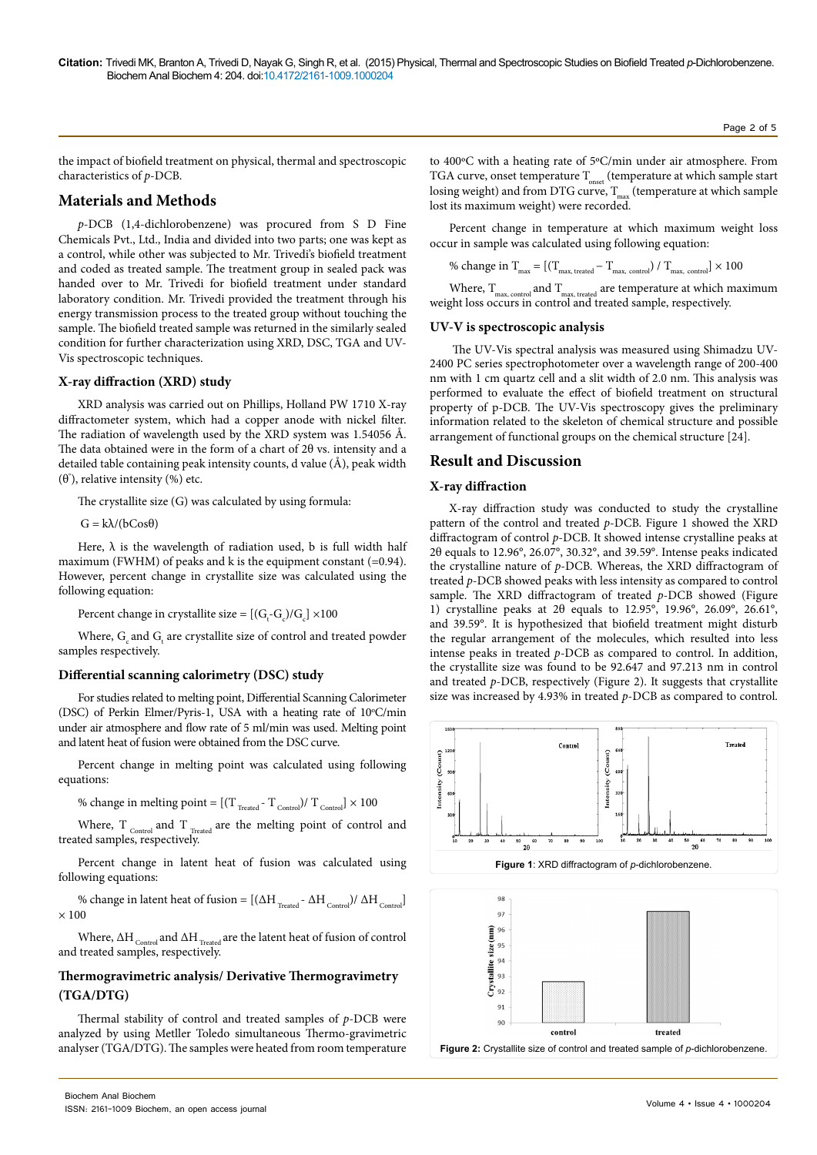the impact of biofield treatment on physical, thermal and spectroscopic characteristics of *p*-DCB.

# **Materials and Methods**

*p*-DCB (1,4-dichlorobenzene) was procured from S D Fine Chemicals Pvt., Ltd., India and divided into two parts; one was kept as a control, while other was subjected to Mr. Trivedi's biofield treatment and coded as treated sample. The treatment group in sealed pack was handed over to Mr. Trivedi for biofield treatment under standard laboratory condition. Mr. Trivedi provided the treatment through his energy transmission process to the treated group without touching the sample. The biofield treated sample was returned in the similarly sealed condition for further characterization using XRD, DSC, TGA and UV-Vis spectroscopic techniques.

## **X-ray diffraction (XRD) study**

XRD analysis was carried out on Phillips, Holland PW 1710 X-ray diffractometer system, which had a copper anode with nickel filter. The radiation of wavelength used by the XRD system was 1.54056 Å. The data obtained were in the form of a chart of 2θ vs. intensity and a detailed table containing peak intensity counts, d value (Å), peak width (θ° ), relative intensity (%) etc.

The crystallite size (G) was calculated by using formula:

 $G = k\lambda/(bCos\theta)$ 

Here,  $\lambda$  is the wavelength of radiation used, b is full width half maximum (FWHM) of peaks and k is the equipment constant (=0.94). However, percent change in crystallite size was calculated using the following equation:

Percent change in crystallite size =  $[(G_t-G_c)/G_c] \times 100$ 

Where,  $\mathrm{G}_{\mathrm{c}}$  and  $\mathrm{G}_{\mathrm{t}}$  are crystallite size of control and treated powder samples respectively.

#### **Differential scanning calorimetry (DSC) study**

For studies related to melting point, Differential Scanning Calorimeter (DSC) of Perkin Elmer/Pyris-1, USA with a heating rate of 10°C/min under air atmosphere and flow rate of 5 ml/min was used. Melting point and latent heat of fusion were obtained from the DSC curve.

Percent change in melting point was calculated using following equations:

% change in melting point =  $[(T_{\text{Treated}} - T_{\text{Control}})/T_{\text{Control}}] \times 100$ 

Where, T $_{\tiny\mbox{Control}}$  and T $_{\tiny\mbox{Treated}}$  are the melting point of control and treated samples, respectively.

Percent change in latent heat of fusion was calculated using following equations:

% change in latent heat of fusion =  $[(\Delta H_{Treated} - \Delta H_{Control}) / \Delta H_{Control}]$  $\times$  100

Where,  $\Delta H_{_{\rm Control}}$  and  $\Delta H_{_{\rm{Treated}}}$  are the latent heat of fusion of control and treated samples, respectively.

# **Thermogravimetric analysis/ Derivative Thermogravimetry (TGA/DTG)**

Thermal stability of control and treated samples of *p*-DCB were analyzed by using Metller Toledo simultaneous Thermo-gravimetric analyser (TGA/DTG). The samples were heated from room temperature

to 400ºC with a heating rate of 5ºC/min under air atmosphere. From TGA curve, onset temperature  $T_{onset}$  (temperature at which sample start losing weight) and from DTG curve,  $T_{max}$  (temperature at which sample lost its maximum weight) were recorded.

Percent change in temperature at which maximum weight loss occur in sample was calculated using following equation:

% change in  $T_{\text{max}} = [(T_{\text{max, treated}} - T_{\text{max, control}}) / T_{\text{max, control}}] \times 100$ 

Where,  $\rm T_{\rm max,\,control}$  and  $\rm T_{\rm max,\, treated}$  are temperature at which maximum weight loss occurs in control and treated sample, respectively.

#### **UV-V is spectroscopic analysis**

The UV-Vis spectral analysis was measured using Shimadzu UV-2400 PC series spectrophotometer over a wavelength range of 200-400 nm with 1 cm quartz cell and a slit width of 2.0 nm. This analysis was performed to evaluate the effect of biofield treatment on structural property of p-DCB. The UV-Vis spectroscopy gives the preliminary information related to the skeleton of chemical structure and possible arrangement of functional groups on the chemical structure [24].

## **Result and Discussion**

# **X-ray diffraction**

X-ray diffraction study was conducted to study the crystalline pattern of the control and treated *p*-DCB. Figure 1 showed the XRD diffractogram of control *p*-DCB. It showed intense crystalline peaks at 2θ equals to 12.96°, 26.07°, 30.32°, and 39.59°. Intense peaks indicated the crystalline nature of *p*-DCB. Whereas, the XRD diffractogram of treated *p*-DCB showed peaks with less intensity as compared to control sample. The XRD diffractogram of treated *p*-DCB showed (Figure 1) crystalline peaks at 2θ equals to 12.95°, 19.96°, 26.09°, 26.61°, and 39.59°. It is hypothesized that biofield treatment might disturb the regular arrangement of the molecules, which resulted into less intense peaks in treated *p*-DCB as compared to control. In addition, the crystallite size was found to be 92.647 and 97.213 nm in control and treated *p*-DCB, respectively (Figure 2). It suggests that crystallite size was increased by 4.93% in treated *p*-DCB as compared to control.



**Figure 2:** Crystallite size of control and treated sample of *p*-dichlorobenzene.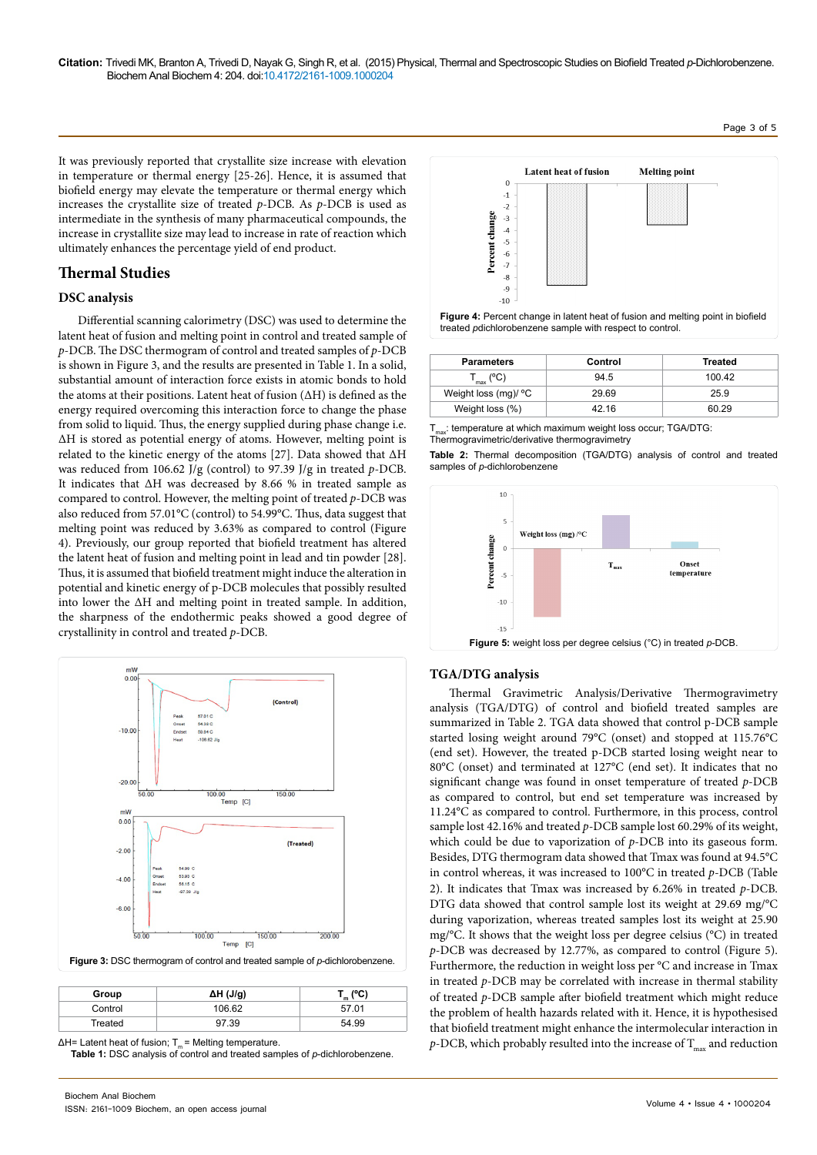It was previously reported that crystallite size increase with elevation in temperature or thermal energy [25-26]. Hence, it is assumed that biofield energy may elevate the temperature or thermal energy which increases the crystallite size of treated *p*-DCB. As *p*-DCB is used as intermediate in the synthesis of many pharmaceutical compounds, the increase in crystallite size may lead to increase in rate of reaction which ultimately enhances the percentage yield of end product.

# **Thermal Studies**

## **DSC analysis**

Differential scanning calorimetry (DSC) was used to determine the latent heat of fusion and melting point in control and treated sample of *p*-DCB. The DSC thermogram of control and treated samples of *p*-DCB is shown in Figure 3, and the results are presented in Table 1. In a solid, substantial amount of interaction force exists in atomic bonds to hold the atoms at their positions. Latent heat of fusion (ΔH) is defined as the energy required overcoming this interaction force to change the phase from solid to liquid. Thus, the energy supplied during phase change i.e. ΔH is stored as potential energy of atoms. However, melting point is related to the kinetic energy of the atoms [27]. Data showed that ΔH was reduced from 106.62 J/g (control) to 97.39 J/g in treated *p*-DCB. It indicates that ΔH was decreased by 8.66 % in treated sample as compared to control. However, the melting point of treated *p*-DCB was also reduced from 57.01°C (control) to 54.99°C. Thus, data suggest that melting point was reduced by 3.63% as compared to control (Figure 4). Previously, our group reported that biofield treatment has altered the latent heat of fusion and melting point in lead and tin powder [28]. Thus, it is assumed that biofield treatment might induce the alteration in potential and kinetic energy of p-DCB molecules that possibly resulted into lower the ΔH and melting point in treated sample. In addition, the sharpness of the endothermic peaks showed a good degree of crystallinity in control and treated *p*-DCB.



| Group   | $\Delta H$ (J/g) | $\mathcal{L}_{\mathsf{m}}$ (°C) |  |  |
|---------|------------------|---------------------------------|--|--|
| Control | 106.62           | 57.01                           |  |  |
| Treated | 97.39            | 54.99                           |  |  |

 $\Delta H$ = Latent heat of fusion; T<sub>m</sub> = Melting temperature. **Table 1:** DSC analysis of control and treated samples of *p*-dichlorobenzene.





| <b>Parameters</b>        | Control | Treated |
|--------------------------|---------|---------|
| $\Gamma_{\sf max}$ (°C). | 94.5    | 100.42  |
| Weight loss (mg)/ °C     | 29.69   | 25.9    |
| Weight loss (%)          | 42.16   | 60.29   |

 $T_{\text{max}}$ : temperature at which maximum weight loss occur; TGA/DTG: Thermogravimetric/derivative thermogravimetry

**Table 2:** Thermal decomposition (TGA/DTG) analysis of control and treated samples of *p*-dichlorobenzene



## **TGA/DTG analysis**

Thermal Gravimetric Analysis/Derivative Thermogravimetry analysis (TGA/DTG) of control and biofield treated samples are summarized in Table 2. TGA data showed that control p-DCB sample started losing weight around 79°C (onset) and stopped at 115.76°C (end set). However, the treated p-DCB started losing weight near to 80°C (onset) and terminated at 127°C (end set). It indicates that no significant change was found in onset temperature of treated *p*-DCB as compared to control, but end set temperature was increased by 11.24°C as compared to control. Furthermore, in this process, control sample lost 42.16% and treated *p*-DCB sample lost 60.29% of its weight, which could be due to vaporization of *p*-DCB into its gaseous form. Besides, DTG thermogram data showed that Tmax was found at 94.5°C in control whereas, it was increased to 100°C in treated *p*-DCB (Table 2). It indicates that Tmax was increased by 6.26% in treated *p*-DCB. DTG data showed that control sample lost its weight at 29.69 mg/°C during vaporization, whereas treated samples lost its weight at 25.90 mg/°C. It shows that the weight loss per degree celsius (°C) in treated *p*-DCB was decreased by 12.77%, as compared to control (Figure 5). Furthermore, the reduction in weight loss per °C and increase in Tmax in treated *p*-DCB may be correlated with increase in thermal stability of treated *p*-DCB sample after biofield treatment which might reduce the problem of health hazards related with it. Hence, it is hypothesised that biofield treatment might enhance the intermolecular interaction in  $p$ -DCB, which probably resulted into the increase of  $T_{\text{max}}$  and reduction

Page 3 of 5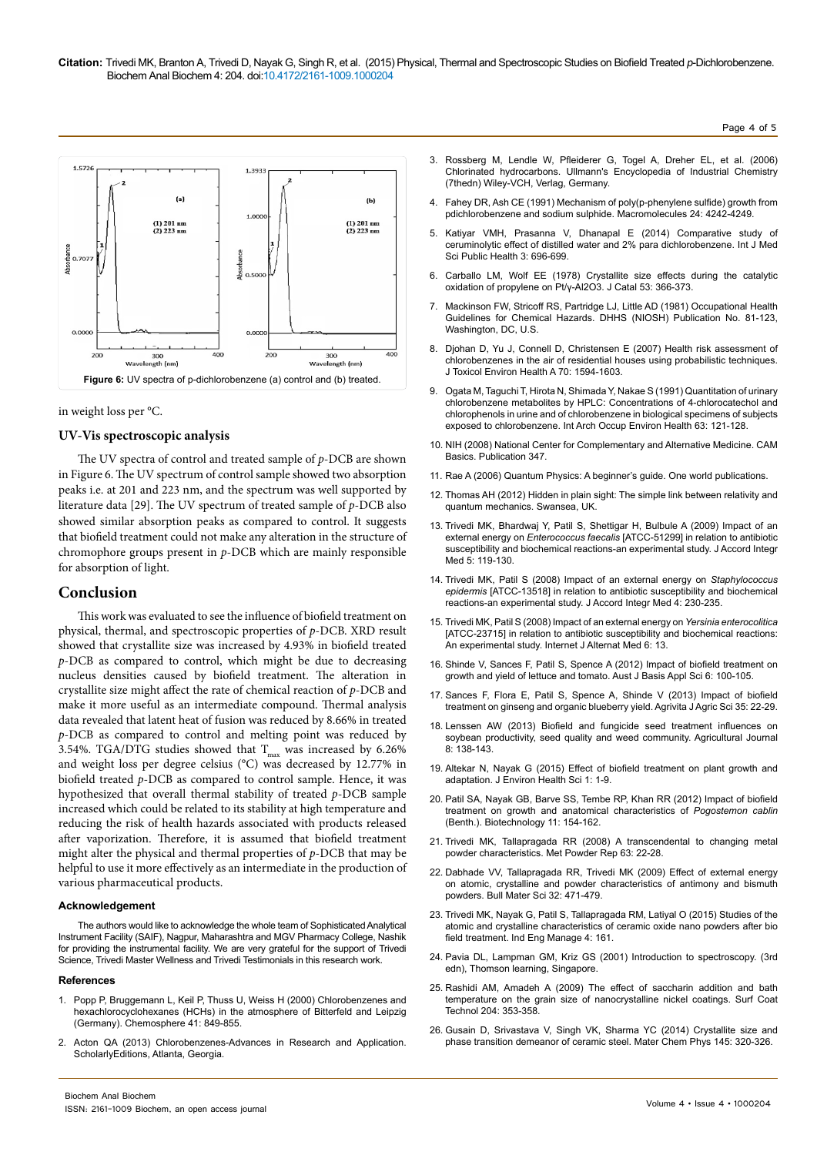



## **UV-Vis spectroscopic analysis**

The UV spectra of control and treated sample of *p*-DCB are shown in Figure 6. The UV spectrum of control sample showed two absorption peaks i.e. at 201 and 223 nm, and the spectrum was well supported by literature data [29]. The UV spectrum of treated sample of *p*-DCB also showed similar absorption peaks as compared to control. It suggests that biofield treatment could not make any alteration in the structure of chromophore groups present in *p*-DCB which are mainly responsible for absorption of light.

## **Conclusion**

This work was evaluated to see the influence of biofield treatment on physical, thermal, and spectroscopic properties of *p*-DCB. XRD result showed that crystallite size was increased by 4.93% in biofield treated *p*-DCB as compared to control, which might be due to decreasing nucleus densities caused by biofield treatment. The alteration in crystallite size might affect the rate of chemical reaction of *p*-DCB and make it more useful as an intermediate compound. Thermal analysis data revealed that latent heat of fusion was reduced by 8.66% in treated *p*-DCB as compared to control and melting point was reduced by 3.54%. TGA/DTG studies showed that  $T_{\text{max}}$  was increased by 6.26% and weight loss per degree celsius (°C) was decreased by 12.77% in biofield treated *p*-DCB as compared to control sample. Hence, it was hypothesized that overall thermal stability of treated *p*-DCB sample increased which could be related to its stability at high temperature and reducing the risk of health hazards associated with products released after vaporization. Therefore, it is assumed that biofield treatment might alter the physical and thermal properties of *p*-DCB that may be helpful to use it more effectively as an intermediate in the production of various pharmaceutical products.

#### **Acknowledgement**

The authors would like to acknowledge the whole team of Sophisticated Analytical Instrument Facility (SAIF), Nagpur, Maharashtra and MGV Pharmacy College, Nashik for providing the instrumental facility. We are very grateful for the support of Trivedi Science, Trivedi Master Wellness and Trivedi Testimonials in this research work.

#### **References**

- 1. [Popp P, Bruggemann L, Keil P, Thuss U, Weiss H \(2000\) Chlorobenzenes and](http://www.ncbi.nlm.nih.gov/pubmed/10864157) [hexachlorocyclohexanes \(HCHs\) in the atmosphere of Bitterfeld and Leipzig](http://www.ncbi.nlm.nih.gov/pubmed/10864157) [\(Germany\). Chemosphere 41: 849-855.](http://www.ncbi.nlm.nih.gov/pubmed/10864157)
- 2. [Acton QA \(2013\) Chlorobenzenes-Advances in Research and Application.](https://books.google.co.in/books?id=nwlqqYpUoR0C&pg=PR5&lpg=PR5&dq=Chlorobenzenes-Advances+in+Research+and+Application&source=bl&ots=I_oBSuTC5k&sig=FiODJz32jg-oTWaX65-Z2MsWGBo&hl=en&sa=X&ved=0CB0Q6AEwAGoVChMI58Xjq4nYxwIVTySOCh1qQgHL#v=onepage&q&f=false) [ScholarlyEditions, Atlanta, Georgia.](https://books.google.co.in/books?id=nwlqqYpUoR0C&pg=PR5&lpg=PR5&dq=Chlorobenzenes-Advances+in+Research+and+Application&source=bl&ots=I_oBSuTC5k&sig=FiODJz32jg-oTWaX65-Z2MsWGBo&hl=en&sa=X&ved=0CB0Q6AEwAGoVChMI58Xjq4nYxwIVTySOCh1qQgHL#v=onepage&q&f=false)
- 3. Rossberg M, Lendle W, Pfleiderer G, Togel A, Dreher EL, et al. (2006) Chlorinated hydrocarbons. Ullmann's Encyclopedia of Industrial Chemistry (7thedn) Wiley-VCH, Verlag, Germany.
- 4. [Fahey DR, Ash CE \(1991\) Mechanism of poly\(p-phenylene sulfide\) growth from](http://www.researchgate.net/publication/231682909_Mechanism_of_poly(p-phenylene_sulfide)_growth_from_p-dichlorobenzene_and_sodium_sulfide)  [pdichlorobenzene and sodium sulphide. Macromolecules 24: 4242-4249.](http://www.researchgate.net/publication/231682909_Mechanism_of_poly(p-phenylene_sulfide)_growth_from_p-dichlorobenzene_and_sodium_sulfide)
- 5. [Katiyar VMH, Prasanna V, Dhanapal E \(2014\) Comparative study of](http://www.scopemed.org/?mno=153128)  [ceruminolytic effect of distilled water and 2% para dichlorobenzene. Int J Med](http://www.scopemed.org/?mno=153128)  [Sci Public Health 3: 696-699.](http://www.scopemed.org/?mno=153128)
- 6. [Carballo LM, Wolf EE \(1978\) Crystallite size effects during the catalytic](http://www.researchgate.net/publication/256213923_Crystallite_size_effects_during_the_catalytic_oxidation_of_propylene_on)  [oxidation of propylene on Pt/γ-Al2O3. J Catal 53: 366-373.](http://www.researchgate.net/publication/256213923_Crystallite_size_effects_during_the_catalytic_oxidation_of_propylene_on)
- 7. [Mackinson FW, Stricoff RS, Partridge LJ, Little AD \(1981\) Occupational Health](http://www.bcin.ca/Interface/openbcin.cgi?submit=submit&Chinkey=136733)  [Guidelines for Chemical Hazards. DHHS \(NIOSH\) Publication No. 81-123,](http://www.bcin.ca/Interface/openbcin.cgi?submit=submit&Chinkey=136733)  [Washington, DC, U.S.](http://www.bcin.ca/Interface/openbcin.cgi?submit=submit&Chinkey=136733)
- 8. [Djohan D, Yu J, Connell D, Christensen E \(2007\) Health risk assessment of](http://www.ncbi.nlm.nih.gov/pubmed/17763077)  [chlorobenzenes in the air of residential houses using probabilistic techniques.](http://www.ncbi.nlm.nih.gov/pubmed/17763077)  [J Toxicol Environ Health A 70: 1594-1603.](http://www.ncbi.nlm.nih.gov/pubmed/17763077)
- 9. [Ogata M, Taguchi T, Hirota N, Shimada Y, Nakae S \(1991\) Quantitation of urinary](http://www.ncbi.nlm.nih.gov/pubmed/1889881)  [chlorobenzene metabolites by HPLC: Concentrations of 4-chlorocatechol and](http://www.ncbi.nlm.nih.gov/pubmed/1889881)  [chlorophenols in urine and of chlorobenzene in biological specimens of subjects](http://www.ncbi.nlm.nih.gov/pubmed/1889881)  [exposed to chlorobenzene. Int Arch Occup Environ Health 63: 121-128.](http://www.ncbi.nlm.nih.gov/pubmed/1889881)
- 10. [NIH \(2008\) National Center for Complementary and Alternative Medicine. CAM](https://nccih.nih.gov/health/integrative-health)  [Basics. Publication 347.](https://nccih.nih.gov/health/integrative-health)
- 11. [Rae A \(2006\) Quantum Physics: A beginner's guide. One world publications.](http://lms.abuad.edu.ng/claroline/backends/download.php?url=L1F1YW50dW1fUGh5c2ljc18tX0FfQmVnaW5uZXItX3NfR3VpZGUucGRm&cidReset=true&cidReq=PHY305)
- 12. [Thomas AH \(2012\) Hidden in plain sight: The simple link between relativity and](http://physicsdatabase.com/2012/06/24/hidden-in-plain-sight-the-simple-link-between-relativity-and-quantum-mechanics/)  [quantum mechanics. Swansea, UK.](http://physicsdatabase.com/2012/06/24/hidden-in-plain-sight-the-simple-link-between-relativity-and-quantum-mechanics/)
- 13. [Trivedi MK, Bhardwaj Y, Patil S, Shettigar H, Bulbule A \(2009\) Impact of an](http://www.accordinstitute.org/2009_5_2_impact_of_an_external_energy_on_enterococcus.htm)  external energy on *Enterococcus faecalis* [\[ATCC-51299\] in relation to antibiotic](http://www.accordinstitute.org/2009_5_2_impact_of_an_external_energy_on_enterococcus.htm)  [susceptibility and biochemical reactions-an experimental study. J Accord Integr](http://www.accordinstitute.org/2009_5_2_impact_of_an_external_energy_on_enterococcus.htm)  [Med 5: 119-130.](http://www.accordinstitute.org/2009_5_2_impact_of_an_external_energy_on_enterococcus.htm)
- 14. [Trivedi MK, Patil S \(2008\) Impact of an external energy on](http://www.trivediscience.com/publications/microbiology-publications/journal-accord-integrative-medicine/staphylococcus-epidermis-atcc-13518/) *Staphylococcus epidermis* [\[ATCC-13518\] in relation to antibiotic susceptibility and biochemical](http://www.trivediscience.com/publications/microbiology-publications/journal-accord-integrative-medicine/staphylococcus-epidermis-atcc-13518/)  [reactions-an experimental study. J Accord Integr Med 4: 230-235.](http://www.trivediscience.com/publications/microbiology-publications/journal-accord-integrative-medicine/staphylococcus-epidermis-atcc-13518/)
- 15. [Trivedi MK, Patil S \(2008\) Impact of an external energy on](http://ispub.com/IJAM/6/2/5464) *Yersinia enterocolitica* [\[ATCC-23715\] in relation to antibiotic susceptibility and biochemical reactions:](http://ispub.com/IJAM/6/2/5464)  [An experimental study. Internet J Alternat Med 6: 13.](http://ispub.com/IJAM/6/2/5464)
- 16. [Shinde V, Sances F, Patil S, Spence A \(2012\) Impact of biofield treatment on](http://connection.ebscohost.com/c/articles/88911333/impact-biofield-treatment-growth-yield-lettuce-tomato)  [growth and yield of lettuce and tomato. Aust J Basis Appl Sci 6: 100-105.](http://connection.ebscohost.com/c/articles/88911333/impact-biofield-treatment-growth-yield-lettuce-tomato)
- 17. [Sances F, Flora E, Patil S, Spence A, Shinde V \(2013\) Impact of biofield](http://www.agrivita.ub.ac.id/index.php/agrivita/article/view/212)  [treatment on ginseng and organic blueberry yield. Agrivita J Agric Sci 35: 22-29.](http://www.agrivita.ub.ac.id/index.php/agrivita/article/view/212)
- 18. [Lenssen AW \(2013\) Biofield and fungicide seed treatment influences on](http://medwelljournals.com/abstract/?doi=aj.2013.138.143)  [soybean productivity, seed quality and weed community. Agricultural Journal](http://medwelljournals.com/abstract/?doi=aj.2013.138.143)  [8: 138-143.](http://medwelljournals.com/abstract/?doi=aj.2013.138.143)
- 19. [Altekar N, Nayak G \(2015\) Effect of biofield treatment on plant growth and](http://www.ommegaonline.com/form/issues/effect-of-a-biofield-treatment.html)  [adaptation. J Environ Health Sci 1: 1-9.](http://www.ommegaonline.com/form/issues/effect-of-a-biofield-treatment.html)
- 20. [Patil SA, Nayak GB, Barve SS, Tembe RP, Khan RR \(2012\) Impact of biofield](http://scialert.net/abstract/?doi=biotech.2012.154.162)  [treatment on growth and anatomical characteristics of](http://scialert.net/abstract/?doi=biotech.2012.154.162) *Pogostemon cablin* [\(Benth.\). Biotechnology 11: 154-162.](http://scialert.net/abstract/?doi=biotech.2012.154.162)
- 21. [Trivedi MK, Tallapragada RR \(2008\) A transcendental to changing metal](http://www.sciencedirect.com/science/article/pii/S0026065708701450)  [powder characteristics. Met Powder Rep 63: 22-28.](http://www.sciencedirect.com/science/article/pii/S0026065708701450)
- 22. [Dabhade VV, Tallapragada RR, Trivedi MK \(2009\) Effect of external energy](http://link.springer.com/article/10.1007%2Fs12034-009-0070-4)  [on atomic, crystalline and powder characteristics of antimony and bismuth](http://link.springer.com/article/10.1007%2Fs12034-009-0070-4)  [powders. Bull Mater Sci 32: 471-479.](http://link.springer.com/article/10.1007%2Fs12034-009-0070-4)
- 23. [Trivedi MK, Nayak G, Patil S, Tallapragada RM, Latiyal O \(2015\) Studies of the](http://www.academia.edu/15003626/Studies_of_the_Atomic_and_Crystalline_Characteristics_of_Ceramic_Oxide_Nano_Powders_after_Bio_field_Treatment)  [atomic and crystalline characteristics of ceramic oxide nano powders after bio](http://www.academia.edu/15003626/Studies_of_the_Atomic_and_Crystalline_Characteristics_of_Ceramic_Oxide_Nano_Powders_after_Bio_field_Treatment)  [field treatment. Ind Eng Manage 4: 161.](http://www.academia.edu/15003626/Studies_of_the_Atomic_and_Crystalline_Characteristics_of_Ceramic_Oxide_Nano_Powders_after_Bio_field_Treatment)
- 24. [Pavia DL, Lampman GM, Kriz GS \(2001\) Introduction to spectroscopy. \(3rd](http://www.amazon.com/Introduction-spectroscopy-Edition-Lampman-Author/dp/B001KQR98E)  [edn\), Thomson learning, Singapore.](http://www.amazon.com/Introduction-spectroscopy-Edition-Lampman-Author/dp/B001KQR98E)
- 25. [Rashidi AM, Amadeh A \(2009\) The effect of saccharin addition and bath](http://www.sciencedirect.com/science/article/pii/S0257897209006069)  [temperature on the grain size of nanocrystalline nickel coatings. Surf Coat](http://www.sciencedirect.com/science/article/pii/S0257897209006069)  [Technol 204: 353-358.](http://www.sciencedirect.com/science/article/pii/S0257897209006069)
- 26. [Gusain D, Srivastava V, Singh VK, Sharma YC \(2014\) Crystallite size and](http://www.sciencedirect.com/science/article/pii/S0254058414001059)  [phase transition demeanor of ceramic steel. Mater Chem Phys 145: 320-326.](http://www.sciencedirect.com/science/article/pii/S0254058414001059)